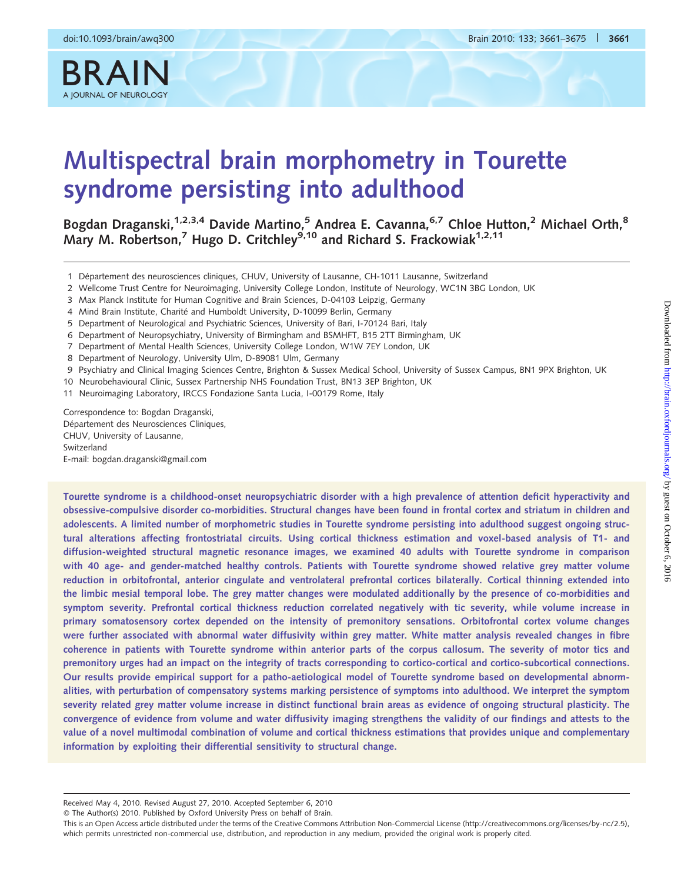BRAIN

# Multispectral brain morphometry in Tourette syndrome persisting into adulthood

Bogdan Draganski,<sup>1,2,3,4</sup> Davide Martino,<sup>5</sup> Andrea E. Cavanna,<sup>6,7</sup> Chloe Hutton,<sup>2</sup> Michael Orth,<sup>8</sup> Mary M. Robertson,<sup>7</sup> Hugo D. Critchley<sup>9,10</sup> and Richard S. Frackowiak<sup>1,2,11</sup>

- 1 Département des neurosciences cliniques, CHUV, University of Lausanne, CH-1011 Lausanne, Switzerland
- 2 Wellcome Trust Centre for Neuroimaging, University College London, Institute of Neurology, WC1N 3BG London, UK
- 3 Max Planck Institute for Human Cognitive and Brain Sciences, D-04103 Leipzig, Germany
- 4 Mind Brain Institute, Charité and Humboldt University, D-10099 Berlin, Germany
- 5 Department of Neurological and Psychiatric Sciences, University of Bari, I-70124 Bari, Italy
- 6 Department of Neuropsychiatry, University of Birmingham and BSMHFT, B15 2TT Birmingham, UK
- 7 Department of Mental Health Sciences, University College London, W1W 7EY London, UK
- 8 Department of Neurology, University Ulm, D-89081 Ulm, Germany
- 9 Psychiatry and Clinical Imaging Sciences Centre, Brighton & Sussex Medical School, University of Sussex Campus, BN1 9PX Brighton, UK
- 10 Neurobehavioural Clinic, Sussex Partnership NHS Foundation Trust, BN13 3EP Brighton, UK
- 11 Neuroimaging Laboratory, IRCCS Fondazione Santa Lucia, I-00179 Rome, Italy

Correspondence to: Bogdan Draganski, Département des Neurosciences Cliniques, CHUV, University of Lausanne, Switzerland E-mail: bogdan.draganski@gmail.com

Tourette syndrome is a childhood-onset neuropsychiatric disorder with a high prevalence of attention deficit hyperactivity and obsessive-compulsive disorder co-morbidities. Structural changes have been found in frontal cortex and striatum in children and adolescents. A limited number of morphometric studies in Tourette syndrome persisting into adulthood suggest ongoing structural alterations affecting frontostriatal circuits. Using cortical thickness estimation and voxel-based analysis of T1- and diffusion-weighted structural magnetic resonance images, we examined 40 adults with Tourette syndrome in comparison with 40 age- and gender-matched healthy controls. Patients with Tourette syndrome showed relative grey matter volume reduction in orbitofrontal, anterior cingulate and ventrolateral prefrontal cortices bilaterally. Cortical thinning extended into the limbic mesial temporal lobe. The grey matter changes were modulated additionally by the presence of co-morbidities and symptom severity. Prefrontal cortical thickness reduction correlated negatively with tic severity, while volume increase in primary somatosensory cortex depended on the intensity of premonitory sensations. Orbitofrontal cortex volume changes were further associated with abnormal water diffusivity within grey matter. White matter analysis revealed changes in fibre coherence in patients with Tourette syndrome within anterior parts of the corpus callosum. The severity of motor tics and premonitory urges had an impact on the integrity of tracts corresponding to cortico-cortical and cortico-subcortical connections. Our results provide empirical support for a patho-aetiological model of Tourette syndrome based on developmental abnormalities, with perturbation of compensatory systems marking persistence of symptoms into adulthood. We interpret the symptom severity related grey matter volume increase in distinct functional brain areas as evidence of ongoing structural plasticity. The convergence of evidence from volume and water diffusivity imaging strengthens the validity of our findings and attests to the value of a novel multimodal combination of volume and cortical thickness estimations that provides unique and complementary information by exploiting their differential sensitivity to structural change.

Received May 4, 2010. Revised August 27, 2010. Accepted September 6, 2010

<sup>-</sup> The Author(s) 2010. Published by Oxford University Press on behalf of Brain.

This is an Open Access article distributed under the terms of the Creative Commons Attribution Non-Commercial License (http://creativecommons.org/licenses/by-nc/2.5), which permits unrestricted non-commercial use, distribution, and reproduction in any medium, provided the original work is properly cited.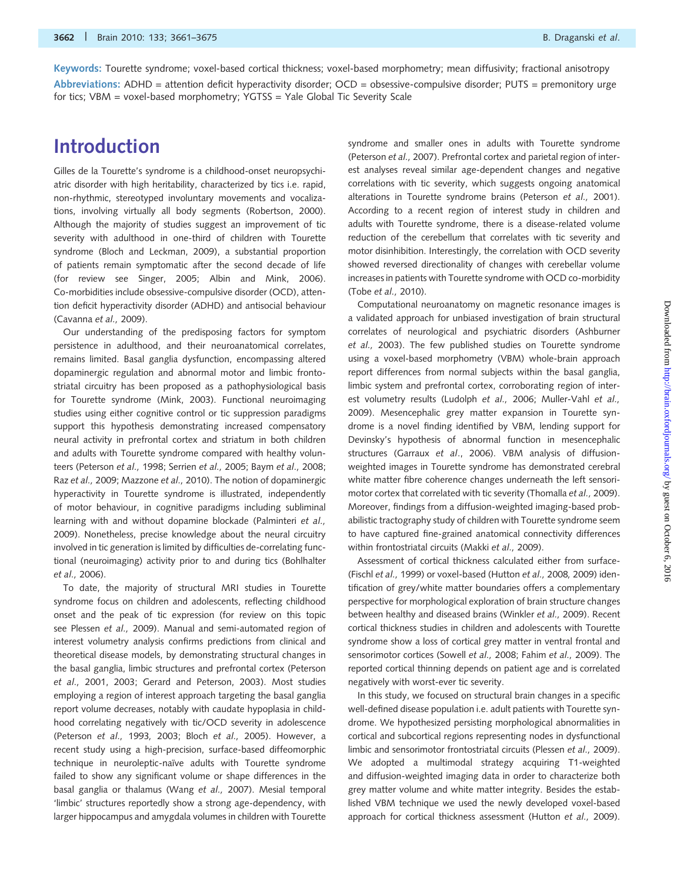Keywords: Tourette syndrome; voxel-based cortical thickness; voxel-based morphometry; mean diffusivity; fractional anisotropy Abbreviations: ADHD = attention deficit hyperactivity disorder; OCD = obsessive-compulsive disorder; PUTS = premonitory urge for tics; VBM = voxel-based morphometry; YGTSS = Yale Global Tic Severity Scale

## Introduction

Gilles de la Tourette's syndrome is a childhood-onset neuropsychiatric disorder with high heritability, characterized by tics i.e. rapid, non-rhythmic, stereotyped involuntary movements and vocalizations, involving virtually all body segments (Robertson, 2000). Although the majority of studies suggest an improvement of tic severity with adulthood in one-third of children with Tourette syndrome (Bloch and Leckman, 2009), a substantial proportion of patients remain symptomatic after the second decade of life (for review see Singer, 2005; Albin and Mink, 2006). Co-morbidities include obsessive-compulsive disorder (OCD), attention deficit hyperactivity disorder (ADHD) and antisocial behaviour (Cavanna et al., 2009).

Our understanding of the predisposing factors for symptom persistence in adulthood, and their neuroanatomical correlates, remains limited. Basal ganglia dysfunction, encompassing altered dopaminergic regulation and abnormal motor and limbic frontostriatal circuitry has been proposed as a pathophysiological basis for Tourette syndrome (Mink, 2003). Functional neuroimaging studies using either cognitive control or tic suppression paradigms support this hypothesis demonstrating increased compensatory neural activity in prefrontal cortex and striatum in both children and adults with Tourette syndrome compared with healthy volunteers (Peterson et al., 1998; Serrien et al., 2005; Baym et al., 2008; Raz et al., 2009; Mazzone et al., 2010). The notion of dopaminergic hyperactivity in Tourette syndrome is illustrated, independently of motor behaviour, in cognitive paradigms including subliminal learning with and without dopamine blockade (Palminteri et al., 2009). Nonetheless, precise knowledge about the neural circuitry involved in tic generation is limited by difficulties de-correlating functional (neuroimaging) activity prior to and during tics (Bohlhalter et al., 2006).

To date, the majority of structural MRI studies in Tourette syndrome focus on children and adolescents, reflecting childhood onset and the peak of tic expression (for review on this topic see Plessen et al., 2009). Manual and semi-automated region of interest volumetry analysis confirms predictions from clinical and theoretical disease models, by demonstrating structural changes in the basal ganglia, limbic structures and prefrontal cortex (Peterson et al., 2001, 2003; Gerard and Peterson, 2003). Most studies employing a region of interest approach targeting the basal ganglia report volume decreases, notably with caudate hypoplasia in childhood correlating negatively with tic/OCD severity in adolescence (Peterson et al., 1993, 2003; Bloch et al., 2005). However, a recent study using a high-precision, surface-based diffeomorphic technique in neuroleptic-naïve adults with Tourette syndrome failed to show any significant volume or shape differences in the basal ganglia or thalamus (Wang et al., 2007). Mesial temporal 'limbic' structures reportedly show a strong age-dependency, with larger hippocampus and amygdala volumes in children with Tourette

syndrome and smaller ones in adults with Tourette syndrome (Peterson et al., 2007). Prefrontal cortex and parietal region of interest analyses reveal similar age-dependent changes and negative correlations with tic severity, which suggests ongoing anatomical alterations in Tourette syndrome brains (Peterson et al., 2001). According to a recent region of interest study in children and adults with Tourette syndrome, there is a disease-related volume reduction of the cerebellum that correlates with tic severity and motor disinhibition. Interestingly, the correlation with OCD severity showed reversed directionality of changes with cerebellar volume increases in patients with Tourette syndrome with OCD co-morbidity (Tobe et al., 2010).

Computational neuroanatomy on magnetic resonance images is a validated approach for unbiased investigation of brain structural correlates of neurological and psychiatric disorders (Ashburner et al., 2003). The few published studies on Tourette syndrome using a voxel-based morphometry (VBM) whole-brain approach report differences from normal subjects within the basal ganglia, limbic system and prefrontal cortex, corroborating region of interest volumetry results (Ludolph et al., 2006; Muller-Vahl et al., 2009). Mesencephalic grey matter expansion in Tourette syndrome is a novel finding identified by VBM, lending support for Devinsky's hypothesis of abnormal function in mesencephalic structures (Garraux et al., 2006). VBM analysis of diffusionweighted images in Tourette syndrome has demonstrated cerebral white matter fibre coherence changes underneath the left sensorimotor cortex that correlated with tic severity (Thomalla et al., 2009). Moreover, findings from a diffusion-weighted imaging-based probabilistic tractography study of children with Tourette syndrome seem to have captured fine-grained anatomical connectivity differences within frontostriatal circuits (Makki et al., 2009).

Assessment of cortical thickness calculated either from surface- (Fischl et al., 1999) or voxel-based (Hutton et al., 2008, 2009) identification of grey/white matter boundaries offers a complementary perspective for morphological exploration of brain structure changes between healthy and diseased brains (Winkler et al., 2009). Recent cortical thickness studies in children and adolescents with Tourette syndrome show a loss of cortical grey matter in ventral frontal and sensorimotor cortices (Sowell et al., 2008; Fahim et al., 2009). The reported cortical thinning depends on patient age and is correlated negatively with worst-ever tic severity.

In this study, we focused on structural brain changes in a specific well-defined disease population i.e. adult patients with Tourette syndrome. We hypothesized persisting morphological abnormalities in cortical and subcortical regions representing nodes in dysfunctional limbic and sensorimotor frontostriatal circuits (Plessen et al., 2009). We adopted a multimodal strategy acquiring T1-weighted and diffusion-weighted imaging data in order to characterize both grey matter volume and white matter integrity. Besides the established VBM technique we used the newly developed voxel-based approach for cortical thickness assessment (Hutton et al., 2009).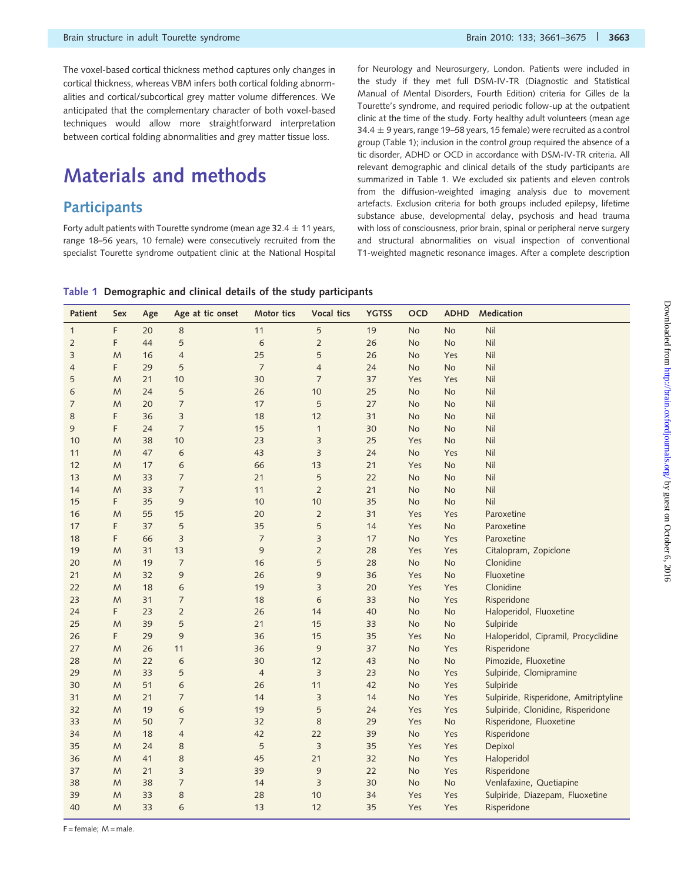The voxel-based cortical thickness method captures only changes in cortical thickness, whereas VBM infers both cortical folding abnormalities and cortical/subcortical grey matter volume differences. We anticipated that the complementary character of both voxel-based techniques would allow more straightforward interpretation between cortical folding abnormalities and grey matter tissue loss.

## Materials and methods

## **Participants**

Forty adult patients with Tourette syndrome (mean age 32.4  $\pm$  11 years, range 18–56 years, 10 female) were consecutively recruited from the specialist Tourette syndrome outpatient clinic at the National Hospital for Neurology and Neurosurgery, London. Patients were included in the study if they met full DSM-IV-TR (Diagnostic and Statistical Manual of Mental Disorders, Fourth Edition) criteria for Gilles de la Tourette's syndrome, and required periodic follow-up at the outpatient clinic at the time of the study. Forty healthy adult volunteers (mean age 34.4  $\pm$  9 years, range 19–58 years, 15 female) were recruited as a control group (Table 1); inclusion in the control group required the absence of a tic disorder, ADHD or OCD in accordance with DSM-IV-TR criteria. All relevant demographic and clinical details of the study participants are summarized in Table 1. We excluded six patients and eleven controls from the diffusion-weighted imaging analysis due to movement artefacts. Exclusion criteria for both groups included epilepsy, lifetime substance abuse, developmental delay, psychosis and head trauma with loss of consciousness, prior brain, spinal or peripheral nerve surgery and structural abnormalities on visual inspection of conventional T1-weighted magnetic resonance images. After a complete description

Table 1 Demographic and clinical details of the study participants

| Patient        | Sex | Age | Age at tic onset         | Motor tics               | Vocal tics     | <b>YGTSS</b> | <b>OCD</b> | <b>ADHD</b> | Medication                            |
|----------------|-----|-----|--------------------------|--------------------------|----------------|--------------|------------|-------------|---------------------------------------|
| $\mathbf{1}$   | F   | 20  | $\,8\,$                  | 11                       | 5              | 19           | No         | No          | Nil                                   |
| $\overline{2}$ | F   | 44  | 5                        | 6                        | $\overline{2}$ | 26           | <b>No</b>  | <b>No</b>   | Nil                                   |
| 3              | M   | 16  | $\overline{4}$           | 25                       | 5              | 26           | <b>No</b>  | Yes         | Nil                                   |
| 4              | F   | 29  | 5                        | $\overline{\phantom{a}}$ | $\overline{4}$ | 24           | <b>No</b>  | <b>No</b>   | Nil                                   |
| 5              | M   | 21  | 10                       | 30                       | $\overline{7}$ | 37           | Yes        | Yes         | Nil                                   |
| 6              | M   | 24  | 5                        | 26                       | 10             | 25           | <b>No</b>  | <b>No</b>   | Nil                                   |
| $\overline{7}$ | M   | 20  | $\overline{7}$           | 17                       | 5              | 27           | <b>No</b>  | <b>No</b>   | Nil                                   |
| 8              | F   | 36  | 3                        | 18                       | 12             | 31           | <b>No</b>  | <b>No</b>   | Nil                                   |
| 9              | F   | 24  | $\overline{7}$           | 15                       | $\mathbf{1}$   | 30           | No         | <b>No</b>   | Nil                                   |
| 10             | M   | 38  | 10                       | 23                       | 3              | 25           | Yes        | <b>No</b>   | Nil                                   |
| 11             | M   | 47  | 6                        | 43                       | 3              | 24           | <b>No</b>  | Yes         | Nil                                   |
| 12             | M   | 17  | 6                        | 66                       | 13             | 21           | Yes        | <b>No</b>   | Nil                                   |
| 13             | M   | 33  | $\overline{7}$           | 21                       | 5              | 22           | <b>No</b>  | <b>No</b>   | Nil                                   |
| 14             | M   | 33  | $\overline{7}$           | 11                       | $\overline{2}$ | 21           | <b>No</b>  | <b>No</b>   | Nil                                   |
| 15             | F.  | 35  | 9                        | 10                       | 10             | 35           | <b>No</b>  | <b>No</b>   | Nil                                   |
| 16             | M   | 55  | 15                       | 20                       | $\overline{2}$ | 31           | Yes        | Yes         | Paroxetine                            |
| 17             | F   | 37  | 5                        | 35                       | 5              | 14           | Yes        | <b>No</b>   | Paroxetine                            |
| 18             | F   | 66  | 3                        | $\overline{7}$           | 3              | 17           | <b>No</b>  | Yes         | Paroxetine                            |
| 19             | M   | 31  | 13                       | 9                        | $\overline{2}$ | 28           | Yes        | Yes         | Citalopram, Zopiclone                 |
| 20             | M   | 19  | $\overline{\phantom{a}}$ | 16                       | 5              | 28           | <b>No</b>  | <b>No</b>   | Clonidine                             |
| 21             | M   | 32  | 9                        | 26                       | 9              | 36           | Yes        | <b>No</b>   | Fluoxetine                            |
| 22             | M   | 18  | 6                        | 19                       | 3              | 20           | Yes        | Yes         | Clonidine                             |
| 23             | M   | 31  | $\overline{7}$           | 18                       | 6              | 33           | <b>No</b>  | Yes         | Risperidone                           |
| 24             | F   | 23  | $\overline{2}$           | 26                       | 14             | 40           | <b>No</b>  | No          | Haloperidol, Fluoxetine               |
| 25             | M   | 39  | 5                        | 21                       | 15             | 33           | <b>No</b>  | <b>No</b>   | Sulpiride                             |
| 26             | F   | 29  | 9                        | 36                       | 15             | 35           | Yes        | No          | Haloperidol, Cipramil, Procyclidine   |
| 27             | M   | 26  | 11                       | 36                       | 9              | 37           | No         | Yes         | Risperidone                           |
| 28             | M   | 22  | 6                        | 30                       | 12             | 43           | <b>No</b>  | No          | Pimozide, Fluoxetine                  |
| 29             | M   | 33  | 5                        | $\overline{4}$           | 3              | 23           | <b>No</b>  | Yes         | Sulpiride, Clomipramine               |
| 30             | M   | 51  | 6                        | 26                       | 11             | 42           | <b>No</b>  | Yes         | Sulpiride                             |
| 31             | M   | 21  | $\overline{7}$           | 14                       | 3              | 14           | <b>No</b>  | Yes         | Sulpiride, Risperidone, Amitriptyline |
| 32             | M   | 19  | 6                        | 19                       | 5              | 24           | Yes        | Yes         | Sulpiride, Clonidine, Risperidone     |
| 33             | M   | 50  | $\overline{7}$           | 32                       | 8              | 29           | Yes        | <b>No</b>   | Risperidone, Fluoxetine               |
| 34             | M   | 18  | $\overline{4}$           | 42                       | 22             | 39           | <b>No</b>  | Yes         | Risperidone                           |
| 35             | M   | 24  | 8                        | 5                        | $\overline{3}$ | 35           | Yes        | Yes         | Depixol                               |
| 36             | M   | 41  | 8                        | 45                       | 21             | 32           | No         | Yes         | Haloperidol                           |
| 37             | M   | 21  | 3                        | 39                       | 9              | 22           | No         | Yes         | Risperidone                           |
| 38             | M   | 38  | $\overline{7}$           | 14                       | 3              | 30           | <b>No</b>  | <b>No</b>   | Venlafaxine, Quetiapine               |
| 39             | M   | 33  | $\,8\,$                  | 28                       | 10             | 34           | Yes        | Yes         | Sulpiride, Diazepam, Fluoxetine       |
| 40             | M   | 33  | 6                        | 13                       | 12             | 35           | Yes        | Yes         | Risperidone                           |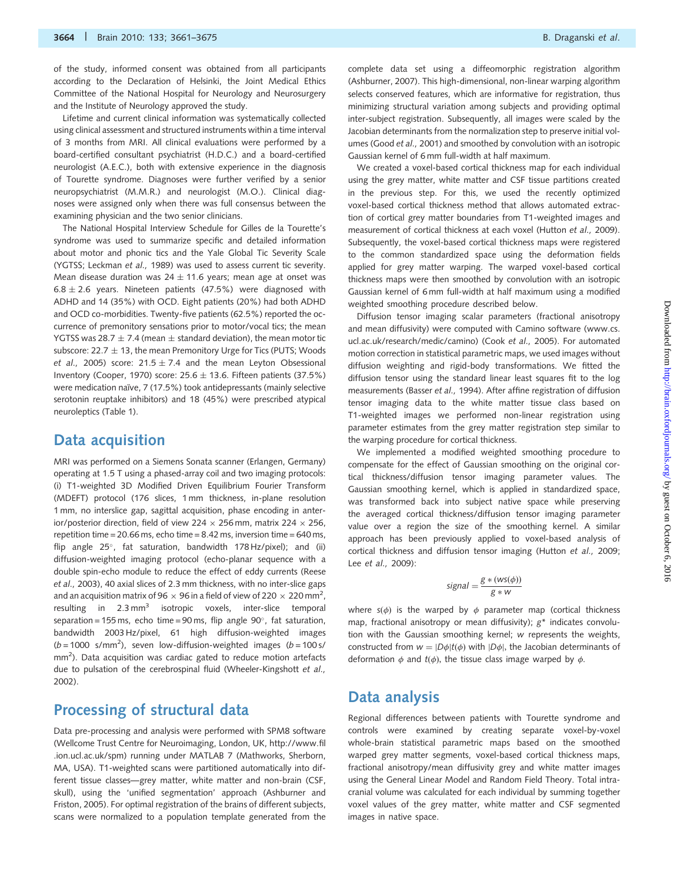of the study, informed consent was obtained from all participants according to the Declaration of Helsinki, the Joint Medical Ethics Committee of the National Hospital for Neurology and Neurosurgery and the Institute of Neurology approved the study.

Lifetime and current clinical information was systematically collected using clinical assessment and structured instruments within a time interval of 3 months from MRI. All clinical evaluations were performed by a board-certified consultant psychiatrist (H.D.C.) and a board-certified neurologist (A.E.C.), both with extensive experience in the diagnosis of Tourette syndrome. Diagnoses were further verified by a senior neuropsychiatrist (M.M.R.) and neurologist (M.O.). Clinical diagnoses were assigned only when there was full consensus between the examining physician and the two senior clinicians.

The National Hospital Interview Schedule for Gilles de la Tourette's syndrome was used to summarize specific and detailed information about motor and phonic tics and the Yale Global Tic Severity Scale (YGTSS; Leckman et al., 1989) was used to assess current tic severity. Mean disease duration was 24  $\pm$  11.6 years; mean age at onset was 6.8  $\pm$  2.6 years. Nineteen patients (47.5%) were diagnosed with ADHD and 14 (35%) with OCD. Eight patients (20%) had both ADHD and OCD co-morbidities. Twenty-five patients (62.5%) reported the occurrence of premonitory sensations prior to motor/vocal tics; the mean YGTSS was 28.7  $\pm$  7.4 (mean  $\pm$  standard deviation), the mean motor tic subscore: 22.7  $\pm$  13, the mean Premonitory Urge for Tics (PUTS; Woods *et al.,* 2005) score: 21.5  $\pm$  7.4 and the mean Leyton Obsessional Inventory (Cooper, 1970) score:  $25.6 \pm 13.6$ . Fifteen patients (37.5%) were medication naïve, 7 (17.5%) took antidepressants (mainly selective serotonin reuptake inhibitors) and 18 (45%) were prescribed atypical neuroleptics (Table 1).

### Data acquisition

MRI was performed on a Siemens Sonata scanner (Erlangen, Germany) operating at 1.5 T using a phased-array coil and two imaging protocols: (i) T1-weighted 3D Modified Driven Equilibrium Fourier Transform (MDEFT) protocol (176 slices, 1 mm thickness, in-plane resolution 1 mm, no interslice gap, sagittal acquisition, phase encoding in anterior/posterior direction, field of view 224  $\times$  256 mm, matrix 224  $\times$  256, repetition time =  $20.66$  ms, echo time =  $8.42$  ms, inversion time =  $640$  ms, flip angle  $25^\circ$ , fat saturation, bandwidth 178 Hz/pixel); and (ii) diffusion-weighted imaging protocol (echo-planar sequence with a double spin-echo module to reduce the effect of eddy currents (Reese et al., 2003), 40 axial slices of 2.3 mm thickness, with no inter-slice gaps and an acquisition matrix of 96  $\times$  96 in a field of view of 220  $\times$  220 mm $^2$ , resulting in  $2.3 \text{ mm}^3$  isotropic voxels, inter-slice temporal separation = 155 ms, echo time = 90 ms, flip angle 90 $^{\circ}$ , fat saturation, bandwidth 2003 Hz/pixel, 61 high diffusion-weighted images  $(b = 1000 \text{ s/mm}^2)$ , seven low-diffusion-weighted images (b = 100 s/ mm<sup>2</sup>). Data acquisition was cardiac gated to reduce motion artefacts due to pulsation of the cerebrospinal fluid (Wheeler-Kingshott et al., 2002).

### Processing of structural data

Data pre-processing and analysis were performed with SPM8 software (Wellcome Trust Centre for Neuroimaging, London, UK, http://www.fil .ion.ucl.ac.uk/spm) running under MATLAB 7 (Mathworks, Sherborn, MA, USA). T1-weighted scans were partitioned automatically into different tissue classes—grey matter, white matter and non-brain (CSF, skull), using the 'unified segmentation' approach (Ashburner and Friston, 2005). For optimal registration of the brains of different subjects, scans were normalized to a population template generated from the

complete data set using a diffeomorphic registration algorithm (Ashburner, 2007). This high-dimensional, non-linear warping algorithm selects conserved features, which are informative for registration, thus minimizing structural variation among subjects and providing optimal inter-subject registration. Subsequently, all images were scaled by the Jacobian determinants from the normalization step to preserve initial volumes (Good et al., 2001) and smoothed by convolution with an isotropic Gaussian kernel of 6 mm full-width at half maximum.

We created a voxel-based cortical thickness map for each individual using the grey matter, white matter and CSF tissue partitions created in the previous step. For this, we used the recently optimized voxel-based cortical thickness method that allows automated extraction of cortical grey matter boundaries from T1-weighted images and measurement of cortical thickness at each voxel (Hutton et al., 2009). Subsequently, the voxel-based cortical thickness maps were registered to the common standardized space using the deformation fields applied for grey matter warping. The warped voxel-based cortical thickness maps were then smoothed by convolution with an isotropic Gaussian kernel of 6 mm full-width at half maximum using a modified weighted smoothing procedure described below.

Diffusion tensor imaging scalar parameters (fractional anisotropy and mean diffusivity) were computed with Camino software (www.cs. ucl.ac.uk/research/medic/camino) (Cook et al., 2005). For automated motion correction in statistical parametric maps, we used images without diffusion weighting and rigid-body transformations. We fitted the diffusion tensor using the standard linear least squares fit to the log measurements (Basser et al., 1994). After affine registration of diffusion tensor imaging data to the white matter tissue class based on T1-weighted images we performed non-linear registration using parameter estimates from the grey matter registration step similar to the warping procedure for cortical thickness.

We implemented a modified weighted smoothing procedure to compensate for the effect of Gaussian smoothing on the original cortical thickness/diffusion tensor imaging parameter values. The Gaussian smoothing kernel, which is applied in standardized space, was transformed back into subject native space while preserving the averaged cortical thickness/diffusion tensor imaging parameter value over a region the size of the smoothing kernel. A similar approach has been previously applied to voxel-based analysis of cortical thickness and diffusion tensor imaging (Hutton et al., 2009; Lee et al., 2009):

$$
signal = \frac{g * (ws(\phi))}{g * w}
$$

where  $s(\phi)$  is the warped by  $\phi$  parameter map (cortical thickness map, fractional anisotropy or mean diffusivity);  $g^*$  indicates convolution with the Gaussian smoothing kernel; w represents the weights, constructed from  $w = |D\phi|t(\phi)$  with  $|D\phi|$ , the Jacobian determinants of deformation  $\phi$  and  $t(\phi)$ , the tissue class image warped by  $\phi$ .

## Data analysis

Regional differences between patients with Tourette syndrome and controls were examined by creating separate voxel-by-voxel whole-brain statistical parametric maps based on the smoothed warped grey matter segments, voxel-based cortical thickness maps, fractional anisotropy/mean diffusivity grey and white matter images using the General Linear Model and Random Field Theory. Total intracranial volume was calculated for each individual by summing together voxel values of the grey matter, white matter and CSF segmented images in native space.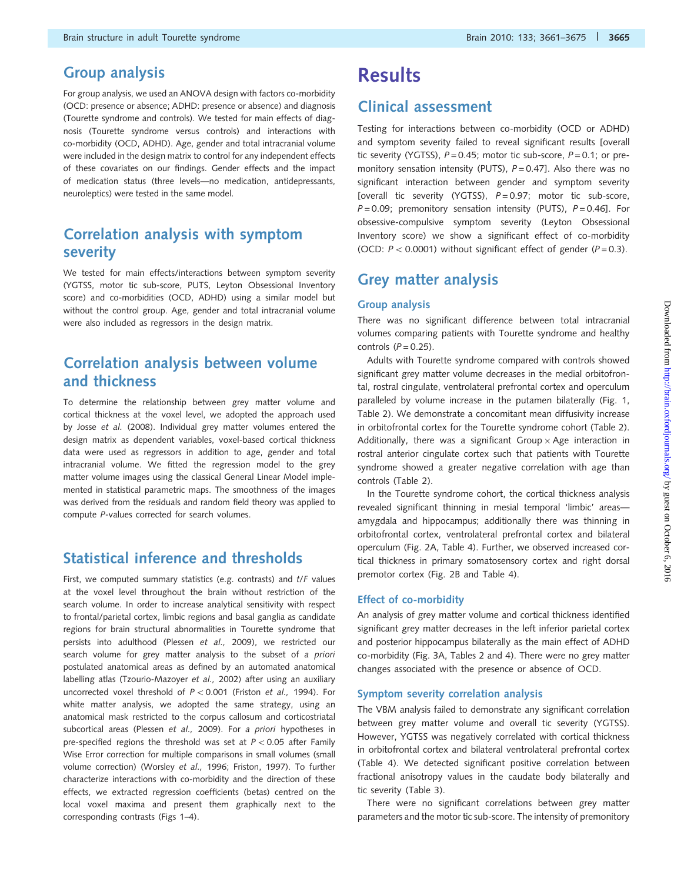### Group analysis

For group analysis, we used an ANOVA design with factors co-morbidity (OCD: presence or absence; ADHD: presence or absence) and diagnosis (Tourette syndrome and controls). We tested for main effects of diagnosis (Tourette syndrome versus controls) and interactions with co-morbidity (OCD, ADHD). Age, gender and total intracranial volume were included in the design matrix to control for any independent effects of these covariates on our findings. Gender effects and the impact of medication status (three levels—no medication, antidepressants, neuroleptics) were tested in the same model.

## Correlation analysis with symptom severity

We tested for main effects/interactions between symptom severity (YGTSS, motor tic sub-score, PUTS, Leyton Obsessional Inventory score) and co-morbidities (OCD, ADHD) using a similar model but without the control group. Age, gender and total intracranial volume were also included as regressors in the design matrix.

## Correlation analysis between volume and thickness

To determine the relationship between grey matter volume and cortical thickness at the voxel level, we adopted the approach used by Josse et al. (2008). Individual grey matter volumes entered the design matrix as dependent variables, voxel-based cortical thickness data were used as regressors in addition to age, gender and total intracranial volume. We fitted the regression model to the grey matter volume images using the classical General Linear Model implemented in statistical parametric maps. The smoothness of the images was derived from the residuals and random field theory was applied to compute P-values corrected for search volumes.

## Statistical inference and thresholds

First, we computed summary statistics (e.g. contrasts) and t/F values at the voxel level throughout the brain without restriction of the search volume. In order to increase analytical sensitivity with respect to frontal/parietal cortex, limbic regions and basal ganglia as candidate regions for brain structural abnormalities in Tourette syndrome that persists into adulthood (Plessen et al., 2009), we restricted our search volume for grey matter analysis to the subset of a priori postulated anatomical areas as defined by an automated anatomical labelling atlas (Tzourio-Mazoyer et al., 2002) after using an auxiliary uncorrected voxel threshold of  $P < 0.001$  (Friston et al., 1994). For white matter analysis, we adopted the same strategy, using an anatomical mask restricted to the corpus callosum and corticostriatal subcortical areas (Plessen et al., 2009). For a priori hypotheses in pre-specified regions the threshold was set at  $P < 0.05$  after Family Wise Error correction for multiple comparisons in small volumes (small volume correction) (Worsley et al., 1996; Friston, 1997). To further characterize interactions with co-morbidity and the direction of these effects, we extracted regression coefficients (betas) centred on the local voxel maxima and present them graphically next to the corresponding contrasts (Figs 1–4).

## **Results**

## Clinical assessment

Testing for interactions between co-morbidity (OCD or ADHD) and symptom severity failed to reveal significant results [overall tic severity (YGTSS),  $P = 0.45$ ; motor tic sub-score,  $P = 0.1$ ; or premonitory sensation intensity (PUTS),  $P = 0.47$ ]. Also there was no significant interaction between gender and symptom severity [overall tic severity (YGTSS), P = 0.97; motor tic sub-score,  $P = 0.09$ ; premonitory sensation intensity (PUTS),  $P = 0.46$ ]. For obsessive-compulsive symptom severity (Leyton Obsessional Inventory score) we show a significant effect of co-morbidity (OCD:  $P < 0.0001$ ) without significant effect of gender (P = 0.3).

## Grey matter analysis

#### Group analysis

There was no significant difference between total intracranial volumes comparing patients with Tourette syndrome and healthy controls  $(P = 0.25)$ .

Adults with Tourette syndrome compared with controls showed significant grey matter volume decreases in the medial orbitofrontal, rostral cingulate, ventrolateral prefrontal cortex and operculum paralleled by volume increase in the putamen bilaterally (Fig. 1, Table 2). We demonstrate a concomitant mean diffusivity increase in orbitofrontal cortex for the Tourette syndrome cohort (Table 2). Additionally, there was a significant Group  $\times$  Age interaction in rostral anterior cingulate cortex such that patients with Tourette syndrome showed a greater negative correlation with age than controls (Table 2).

In the Tourette syndrome cohort, the cortical thickness analysis revealed significant thinning in mesial temporal 'limbic' areas amygdala and hippocampus; additionally there was thinning in orbitofrontal cortex, ventrolateral prefrontal cortex and bilateral operculum (Fig. 2A, Table 4). Further, we observed increased cortical thickness in primary somatosensory cortex and right dorsal premotor cortex (Fig. 2B and Table 4).

#### Effect of co-morbidity

An analysis of grey matter volume and cortical thickness identified significant grey matter decreases in the left inferior parietal cortex and posterior hippocampus bilaterally as the main effect of ADHD co-morbidity (Fig. 3A, Tables 2 and 4). There were no grey matter changes associated with the presence or absence of OCD.

#### Symptom severity correlation analysis

The VBM analysis failed to demonstrate any significant correlation between grey matter volume and overall tic severity (YGTSS). However, YGTSS was negatively correlated with cortical thickness in orbitofrontal cortex and bilateral ventrolateral prefrontal cortex (Table 4). We detected significant positive correlation between fractional anisotropy values in the caudate body bilaterally and tic severity (Table 3).

There were no significant correlations between grey matter parameters and the motor tic sub-score. The intensity of premonitory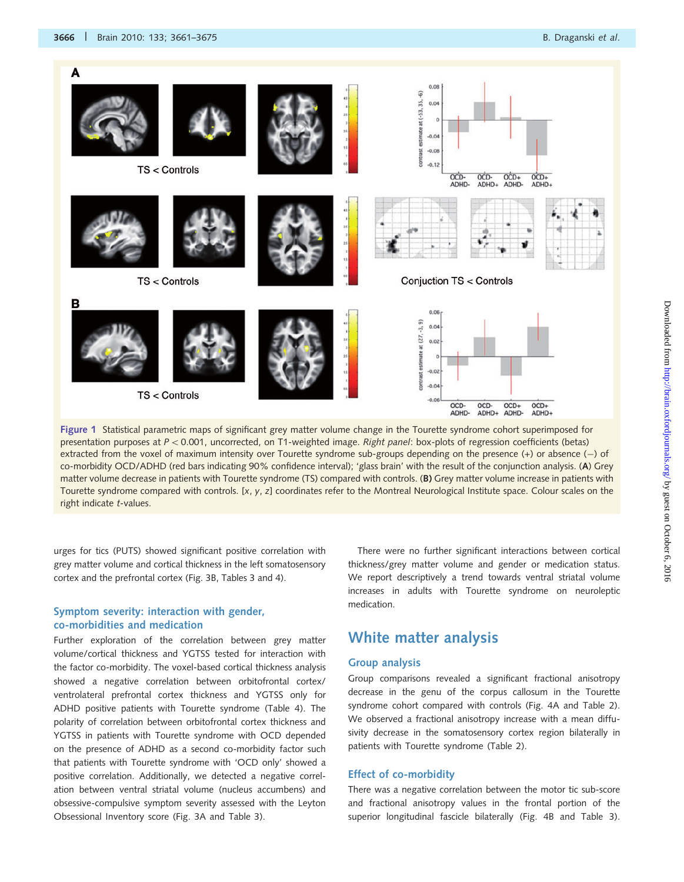

Figure 1 Statistical parametric maps of significant grey matter volume change in the Tourette syndrome cohort superimposed for presentation purposes at  $P < 0.001$ , uncorrected, on T1-weighted image. Right panel: box-plots of regression coefficients (betas) extracted from the voxel of maximum intensity over Tourette syndrome sub-groups depending on the presence  $(+)$  or absence  $(-)$  of co-morbidity OCD/ADHD (red bars indicating 90% confidence interval); 'glass brain' with the result of the conjunction analysis. (A) Grey matter volume decrease in patients with Tourette syndrome (TS) compared with controls. (B) Grey matter volume increase in patients with Tourette syndrome compared with controls. [x, y, z] coordinates refer to the Montreal Neurological Institute space. Colour scales on the right indicate t-values.

urges for tics (PUTS) showed significant positive correlation with grey matter volume and cortical thickness in the left somatosensory cortex and the prefrontal cortex (Fig. 3B, Tables 3 and 4).

#### Symptom severity: interaction with gender, co-morbidities and medication

Further exploration of the correlation between grey matter volume/cortical thickness and YGTSS tested for interaction with the factor co-morbidity. The voxel-based cortical thickness analysis showed a negative correlation between orbitofrontal cortex/ ventrolateral prefrontal cortex thickness and YGTSS only for ADHD positive patients with Tourette syndrome (Table 4). The polarity of correlation between orbitofrontal cortex thickness and YGTSS in patients with Tourette syndrome with OCD depended on the presence of ADHD as a second co-morbidity factor such that patients with Tourette syndrome with 'OCD only' showed a positive correlation. Additionally, we detected a negative correlation between ventral striatal volume (nucleus accumbens) and obsessive-compulsive symptom severity assessed with the Leyton Obsessional Inventory score (Fig. 3A and Table 3).

There were no further significant interactions between cortical thickness/grey matter volume and gender or medication status. We report descriptively a trend towards ventral striatal volume increases in adults with Tourette syndrome on neuroleptic medication.

### White matter analysis

#### Group analysis

Group comparisons revealed a significant fractional anisotropy decrease in the genu of the corpus callosum in the Tourette syndrome cohort compared with controls (Fig. 4A and Table 2). We observed a fractional anisotropy increase with a mean diffusivity decrease in the somatosensory cortex region bilaterally in patients with Tourette syndrome (Table 2).

#### Effect of co-morbidity

There was a negative correlation between the motor tic sub-score and fractional anisotropy values in the frontal portion of the superior longitudinal fascicle bilaterally (Fig. 4B and Table 3).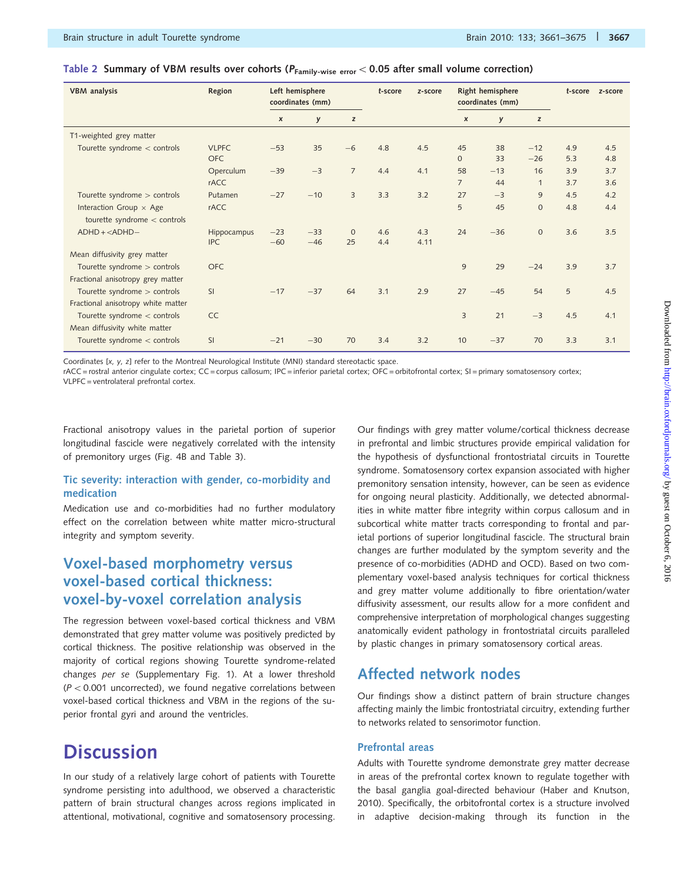| <b>VBM</b> analysis                                            | Region       |                  | Left hemisphere<br>coordinates (mm) |                |     | z-score |                  | Right hemisphere<br>coordinates (mm) | t-score      | z-score |     |
|----------------------------------------------------------------|--------------|------------------|-------------------------------------|----------------|-----|---------|------------------|--------------------------------------|--------------|---------|-----|
|                                                                |              | $\boldsymbol{x}$ | y                                   | z              |     |         | $\boldsymbol{x}$ | y                                    | z            |         |     |
| T1-weighted grey matter                                        |              |                  |                                     |                |     |         |                  |                                      |              |         |     |
| Tourette syndrome < controls                                   | <b>VLPFC</b> | $-53$            | 35                                  | $-6$           | 4.8 | 4.5     | 45               | 38                                   | $-12$        | 4.9     | 4.5 |
|                                                                | <b>OFC</b>   |                  |                                     |                |     |         | $\mathbf{0}$     | 33                                   | $-26$        | 5.3     | 4.8 |
|                                                                | Operculum    | $-39$            | $-3$                                | $\overline{7}$ | 4.4 | 4.1     | 58               | $-13$                                | 16           | 3.9     | 3.7 |
|                                                                | <b>rACC</b>  |                  |                                     |                |     |         | $\overline{7}$   | 44                                   | $\mathbf{1}$ | 3.7     | 3.6 |
| Tourette syndrome $>$ controls                                 | Putamen      | $-27$            | $-10$                               | 3              | 3.3 | 3.2     | 27               | $-3$                                 | 9            | 4.5     | 4.2 |
| Interaction Group $\times$ Age<br>tourette syndrome < controls | <b>rACC</b>  |                  |                                     |                |     |         | 5                | 45                                   | $\mathbf{0}$ | 4.8     | 4.4 |
| $ADHD + $                                                      | Hippocampus  | $-23$            | $-33$                               | $\mathbf{0}$   | 4.6 | 4.3     | 24               | $-36$                                | $\mathbf{O}$ | 3.6     | 3.5 |
|                                                                | <b>IPC</b>   | $-60$            | $-46$                               | 25             | 4.4 | 4.11    |                  |                                      |              |         |     |
| Mean diffusivity grey matter                                   |              |                  |                                     |                |     |         |                  |                                      |              |         |     |
| Tourette syndrome > controls                                   | <b>OFC</b>   |                  |                                     |                |     |         | 9                | 29                                   | $-24$        | 3.9     | 3.7 |
| Fractional anisotropy grey matter                              |              |                  |                                     |                |     |         |                  |                                      |              |         |     |
| Tourette syndrome > controls                                   | SI           | $-17$            | $-37$                               | 64             | 3.1 | 2.9     | 27               | $-45$                                | 54           | 5       | 4.5 |
| Fractional anisotropy white matter                             |              |                  |                                     |                |     |         |                  |                                      |              |         |     |
| Tourette syndrome < controls                                   | CC           |                  |                                     |                |     |         | 3                | 21                                   | $-3$         | 4.5     | 4.1 |
| Mean diffusivity white matter                                  |              |                  |                                     |                |     |         |                  |                                      |              |         |     |
| Tourette syndrome $<$ controls                                 | <b>SI</b>    | $-21$            | $-30$                               | 70             | 3.4 | 3.2     | 10               | $-37$                                | 70           | 3.3     | 3.1 |

Table 2 Summary of VBM results over cohorts ( $P_{Family-wise error} < 0.05$  after small volume correction)

Coordinates [x, y, z] refer to the Montreal Neurological Institute (MNI) standard stereotactic space.

rACC = rostral anterior cingulate cortex; CC = corpus callosum; IPC = inferior parietal cortex; OFC = orbitofrontal cortex; SI = primary somatosensory cortex; VLPFC = ventrolateral prefrontal cortex.

Fractional anisotropy values in the parietal portion of superior longitudinal fascicle were negatively correlated with the intensity of premonitory urges (Fig. 4B and Table 3).

#### Tic severity: interaction with gender, co-morbidity and medication

Medication use and co-morbidities had no further modulatory effect on the correlation between white matter micro-structural integrity and symptom severity.

## Voxel-based morphometry versus voxel-based cortical thickness: voxel-by-voxel correlation analysis

The regression between voxel-based cortical thickness and VBM demonstrated that grey matter volume was positively predicted by cortical thickness. The positive relationship was observed in the majority of cortical regions showing Tourette syndrome-related changes per se (Supplementary Fig. 1). At a lower threshold  $(P < 0.001$  uncorrected), we found negative correlations between voxel-based cortical thickness and VBM in the regions of the superior frontal gyri and around the ventricles.

## **Discussion**

In our study of a relatively large cohort of patients with Tourette syndrome persisting into adulthood, we observed a characteristic pattern of brain structural changes across regions implicated in attentional, motivational, cognitive and somatosensory processing.

Our findings with grey matter volume/cortical thickness decrease in prefrontal and limbic structures provide empirical validation for the hypothesis of dysfunctional frontostriatal circuits in Tourette syndrome. Somatosensory cortex expansion associated with higher premonitory sensation intensity, however, can be seen as evidence for ongoing neural plasticity. Additionally, we detected abnormalities in white matter fibre integrity within corpus callosum and in subcortical white matter tracts corresponding to frontal and parietal portions of superior longitudinal fascicle. The structural brain changes are further modulated by the symptom severity and the presence of co-morbidities (ADHD and OCD). Based on two complementary voxel-based analysis techniques for cortical thickness and grey matter volume additionally to fibre orientation/water diffusivity assessment, our results allow for a more confident and comprehensive interpretation of morphological changes suggesting anatomically evident pathology in frontostriatal circuits paralleled by plastic changes in primary somatosensory cortical areas.

## Affected network nodes

Our findings show a distinct pattern of brain structure changes affecting mainly the limbic frontostriatal circuitry, extending further to networks related to sensorimotor function.

#### Prefrontal areas

Adults with Tourette syndrome demonstrate grey matter decrease in areas of the prefrontal cortex known to regulate together with the basal ganglia goal-directed behaviour (Haber and Knutson, 2010). Specifically, the orbitofrontal cortex is a structure involved in adaptive decision-making through its function in the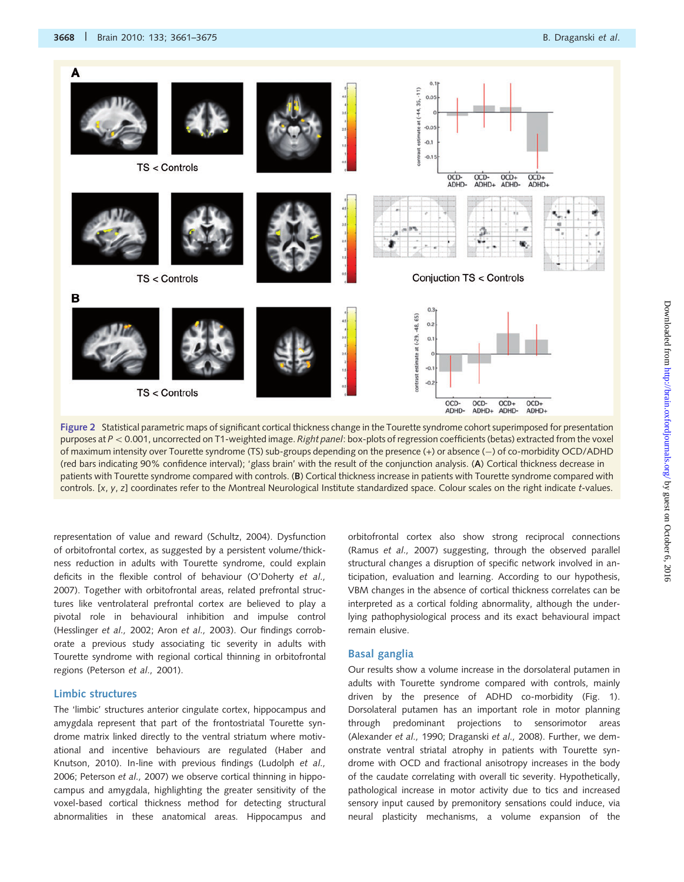

Figure 2 Statistical parametric maps of significant cortical thickness change in the Tourette syndrome cohort superimposed for presentation purposes at  $P < 0.001$ , uncorrected on T1-weighted image. Right panel: box-plots of regression coefficients (betas) extracted from the voxel of maximum intensity over Tourette syndrome (TS) sub-groups depending on the presence (+) or absence (-) of co-morbidity OCD/ADHD (red bars indicating 90% confidence interval); 'glass brain' with the result of the conjunction analysis. (A) Cortical thickness decrease in patients with Tourette syndrome compared with controls. (B) Cortical thickness increase in patients with Tourette syndrome compared with controls. [x, y, z] coordinates refer to the Montreal Neurological Institute standardized space. Colour scales on the right indicate t-values.

representation of value and reward (Schultz, 2004). Dysfunction of orbitofrontal cortex, as suggested by a persistent volume/thickness reduction in adults with Tourette syndrome, could explain deficits in the flexible control of behaviour (O'Doherty et al., 2007). Together with orbitofrontal areas, related prefrontal structures like ventrolateral prefrontal cortex are believed to play a pivotal role in behavioural inhibition and impulse control (Hesslinger et al., 2002; Aron et al., 2003). Our findings corroborate a previous study associating tic severity in adults with Tourette syndrome with regional cortical thinning in orbitofrontal regions (Peterson et al., 2001).

#### Limbic structures

The 'limbic' structures anterior cingulate cortex, hippocampus and amygdala represent that part of the frontostriatal Tourette syndrome matrix linked directly to the ventral striatum where motivational and incentive behaviours are regulated (Haber and Knutson, 2010). In-line with previous findings (Ludolph et al., 2006; Peterson et al., 2007) we observe cortical thinning in hippocampus and amygdala, highlighting the greater sensitivity of the voxel-based cortical thickness method for detecting structural abnormalities in these anatomical areas. Hippocampus and orbitofrontal cortex also show strong reciprocal connections (Ramus et al., 2007) suggesting, through the observed parallel structural changes a disruption of specific network involved in anticipation, evaluation and learning. According to our hypothesis, VBM changes in the absence of cortical thickness correlates can be interpreted as a cortical folding abnormality, although the underlying pathophysiological process and its exact behavioural impact remain elusive.

#### Basal ganglia

Our results show a volume increase in the dorsolateral putamen in adults with Tourette syndrome compared with controls, mainly driven by the presence of ADHD co-morbidity (Fig. 1). Dorsolateral putamen has an important role in motor planning through predominant projections to sensorimotor areas (Alexander et al., 1990; Draganski et al., 2008). Further, we demonstrate ventral striatal atrophy in patients with Tourette syndrome with OCD and fractional anisotropy increases in the body of the caudate correlating with overall tic severity. Hypothetically, pathological increase in motor activity due to tics and increased sensory input caused by premonitory sensations could induce, via neural plasticity mechanisms, a volume expansion of the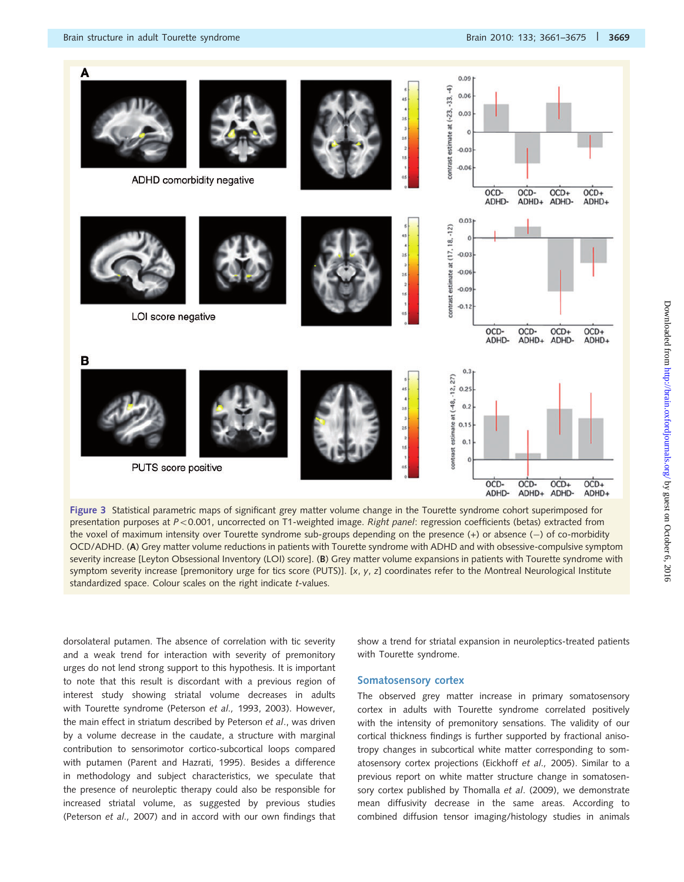

Figure 3 Statistical parametric maps of significant grey matter volume change in the Tourette syndrome cohort superimposed for presentation purposes at P<0.001, uncorrected on T1-weighted image. Right panel: regression coefficients (betas) extracted from the voxel of maximum intensity over Tourette syndrome sub-groups depending on the presence  $(+)$  or absence  $(-)$  of co-morbidity OCD/ADHD. (A) Grey matter volume reductions in patients with Tourette syndrome with ADHD and with obsessive-compulsive symptom severity increase [Leyton Obsessional Inventory (LOI) score]. (B) Grey matter volume expansions in patients with Tourette syndrome with symptom severity increase [premonitory urge for tics score (PUTS)]. [x, y, z] coordinates refer to the Montreal Neurological Institute standardized space. Colour scales on the right indicate t-values.

dorsolateral putamen. The absence of correlation with tic severity and a weak trend for interaction with severity of premonitory urges do not lend strong support to this hypothesis. It is important to note that this result is discordant with a previous region of interest study showing striatal volume decreases in adults with Tourette syndrome (Peterson et al., 1993, 2003). However, the main effect in striatum described by Peterson et al., was driven by a volume decrease in the caudate, a structure with marginal contribution to sensorimotor cortico-subcortical loops compared with putamen (Parent and Hazrati, 1995). Besides a difference in methodology and subject characteristics, we speculate that the presence of neuroleptic therapy could also be responsible for increased striatal volume, as suggested by previous studies (Peterson et al., 2007) and in accord with our own findings that show a trend for striatal expansion in neuroleptics-treated patients with Tourette syndrome.

#### Somatosensory cortex

The observed grey matter increase in primary somatosensory cortex in adults with Tourette syndrome correlated positively with the intensity of premonitory sensations. The validity of our cortical thickness findings is further supported by fractional anisotropy changes in subcortical white matter corresponding to somatosensory cortex projections (Eickhoff et al., 2005). Similar to a previous report on white matter structure change in somatosensory cortex published by Thomalla et al. (2009), we demonstrate mean diffusivity decrease in the same areas. According to combined diffusion tensor imaging/histology studies in animals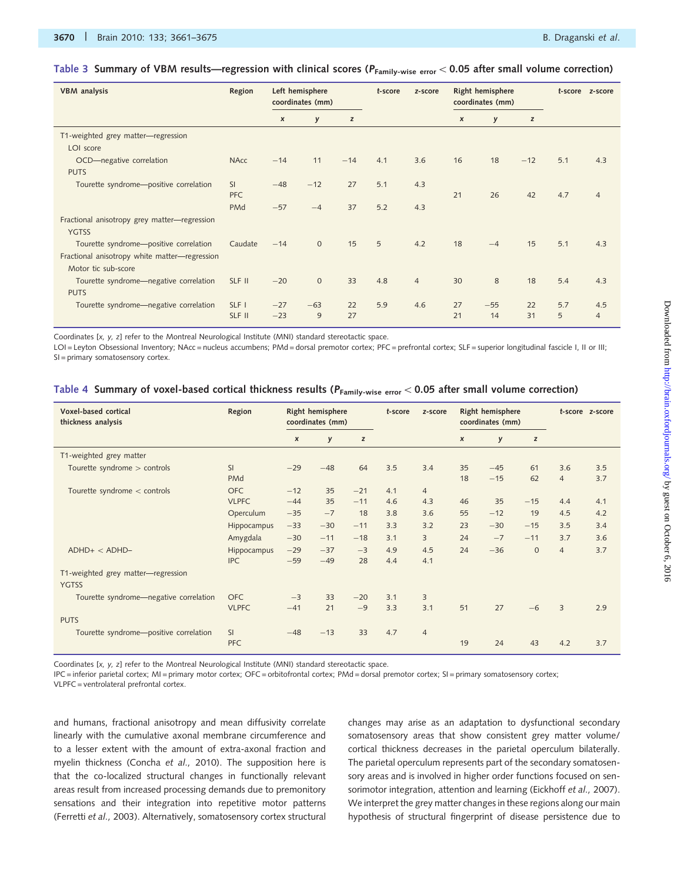|  |  |  |  | Table 3 Summary of VBM results—regression with clinical scores ( $P_{\text{family-wise error}}$ < 0.05 after small volume correction) |  |  |
|--|--|--|--|---------------------------------------------------------------------------------------------------------------------------------------|--|--|
|--|--|--|--|---------------------------------------------------------------------------------------------------------------------------------------|--|--|

| <b>VBM</b> analysis                                          | Region                  |                | Left hemisphere<br>coordinates (mm) |          | t-score | z-score        |                  | Right hemisphere<br>coordinates (mm) |          | t-score z-score |                       |
|--------------------------------------------------------------|-------------------------|----------------|-------------------------------------|----------|---------|----------------|------------------|--------------------------------------|----------|-----------------|-----------------------|
|                                                              |                         | $\pmb{\times}$ | y                                   | z        |         |                | $\boldsymbol{x}$ | y                                    | z        |                 |                       |
| T1-weighted grey matter-regression                           |                         |                |                                     |          |         |                |                  |                                      |          |                 |                       |
| LOI score                                                    |                         |                |                                     |          |         |                |                  |                                      |          |                 |                       |
| OCD-negative correlation                                     | <b>NAcc</b>             | $-14$          | 11                                  | $-14$    | 4.1     | 3.6            | 16               | 18                                   | $-12$    | 5.1             | 4.3                   |
| <b>PUTS</b>                                                  |                         |                |                                     |          |         |                |                  |                                      |          |                 |                       |
| Tourette syndrome-positive correlation                       | <b>SI</b><br><b>PFC</b> | $-48$          | $-12$                               | 27       | 5.1     | 4.3            | 21               | 26                                   | 42       | 4.7             | $\overline{4}$        |
|                                                              | <b>PMd</b>              | $-57$          | $-4$                                | 37       | 5.2     | 4.3            |                  |                                      |          |                 |                       |
| Fractional anisotropy grey matter-regression<br><b>YGTSS</b> |                         |                |                                     |          |         |                |                  |                                      |          |                 |                       |
| Tourette syndrome-positive correlation                       | Caudate                 | $-14$          | $\mathbf{0}$                        | 15       | 5       | 4.2            | 18               | $-4$                                 | 15       | 5.1             | 4.3                   |
| Fractional anisotropy white matter-regression                |                         |                |                                     |          |         |                |                  |                                      |          |                 |                       |
| Motor tic sub-score                                          |                         |                |                                     |          |         |                |                  |                                      |          |                 |                       |
| Tourette syndrome-negative correlation                       | SLF II                  | $-20$          | $\overline{0}$                      | 33       | 4.8     | $\overline{4}$ | 30               | 8                                    | 18       | 5.4             | 4.3                   |
| <b>PUTS</b>                                                  |                         |                |                                     |          |         |                |                  |                                      |          |                 |                       |
| Tourette syndrome-negative correlation                       | SLF I<br>SLF II         | $-27$<br>$-23$ | $-63$<br>9                          | 22<br>27 | 5.9     | 4.6            | 27<br>21         | $-55$<br>14                          | 22<br>31 | 5.7<br>5        | 4.5<br>$\overline{4}$ |
|                                                              |                         |                |                                     |          |         |                |                  |                                      |          |                 |                       |

Coordinates [x, y, z] refer to the Montreal Neurological Institute (MNI) standard stereotactic space.

LOI = Leyton Obsessional Inventory; NAcc = nucleus accumbens; PMd = dorsal premotor cortex; PFC = prefrontal cortex; SLF = superior longitudinal fascicle I, II or III; SI = primary somatosensory cortex.

|  |  |  |  |  |  |  | Table 4 Summary of voxel-based cortical thickness results ( $P_{Family-wise error}$ < 0.05 after small volume correction) |  |  |  |  |  |  |  |
|--|--|--|--|--|--|--|---------------------------------------------------------------------------------------------------------------------------|--|--|--|--|--|--|--|
|--|--|--|--|--|--|--|---------------------------------------------------------------------------------------------------------------------------|--|--|--|--|--|--|--|

| Voxel-based cortical<br>thickness analysis         | Region                  | Right hemisphere<br>coordinates (mm) |       |       | t-score | z-score        | Right hemisphere<br>coordinates (mm) |                |          |                       | t-score z-score |
|----------------------------------------------------|-------------------------|--------------------------------------|-------|-------|---------|----------------|--------------------------------------|----------------|----------|-----------------------|-----------------|
|                                                    |                         | $\pmb{\times}$                       | y     | z     |         |                | $\boldsymbol{x}$                     | y              | z        |                       |                 |
| T1-weighted grey matter                            |                         |                                      |       |       |         |                |                                      |                |          |                       |                 |
| Tourette syndrome $>$ controls                     | <b>SI</b><br><b>PMd</b> | $-29$                                | $-48$ | 64    | 3.5     | 3.4            | 35<br>18                             | $-45$<br>$-15$ | 61<br>62 | 3.6<br>$\overline{4}$ | 3.5<br>3.7      |
| Tourette syndrome $<$ controls                     | OFC.                    | $-12$                                | 35    | $-21$ | 4.1     | $\overline{4}$ |                                      |                |          |                       |                 |
|                                                    | <b>VLPFC</b>            | $-44$                                | 35    | $-11$ | 4.6     | 4.3            | 46                                   | 35             | $-15$    | 4.4                   | 4.1             |
|                                                    | Operculum               | $-35$                                | $-7$  | 18    | 3.8     | 3.6            | 55                                   | $-12$          | 19       | 4.5                   | 4.2             |
|                                                    | Hippocampus             | $-33$                                | $-30$ | $-11$ | 3.3     | 3.2            | 23                                   | $-30$          | $-15$    | 3.5                   | 3.4             |
|                                                    | Amygdala                | $-30$                                | $-11$ | $-18$ | 3.1     | 3              | 24                                   | $-7$           | $-11$    | 3.7                   | 3.6             |
| $ADHD+ < ADHD-$                                    | Hippocampus             | $-29$                                | $-37$ | $-3$  | 4.9     | 4.5            | 24                                   | $-36$          | $\Omega$ | $\overline{4}$        | 3.7             |
|                                                    | <b>IPC</b>              | $-59$                                | $-49$ | 28    | 4.4     | 4.1            |                                      |                |          |                       |                 |
| T1-weighted grey matter-regression<br><b>YGTSS</b> |                         |                                      |       |       |         |                |                                      |                |          |                       |                 |
| Tourette syndrome-negative correlation             | <b>OFC</b>              | $-3$                                 | 33    | $-20$ | 3.1     | 3              |                                      |                |          |                       |                 |
|                                                    | <b>VLPFC</b>            | $-41$                                | 21    | $-9$  | 3.3     | 3.1            | 51                                   | 27             | $-6$     | 3                     | 2.9             |
| <b>PUTS</b>                                        |                         |                                      |       |       |         |                |                                      |                |          |                       |                 |
| Tourette syndrome-positive correlation             | SI<br><b>PFC</b>        | $-48$                                | $-13$ | 33    | 4.7     | $\overline{4}$ | 19                                   | 24             | 43       | 4.2                   | 3.7             |

Coordinates [x, y, z] refer to the Montreal Neurological Institute (MNI) standard stereotactic space.

IPC = inferior parietal cortex; MI = primary motor cortex; OFC = orbitofrontal cortex; PMd = dorsal premotor cortex; SI = primary somatosensory cortex;

VLPFC = ventrolateral prefrontal cortex.

and humans, fractional anisotropy and mean diffusivity correlate linearly with the cumulative axonal membrane circumference and to a lesser extent with the amount of extra-axonal fraction and myelin thickness (Concha et al., 2010). The supposition here is that the co-localized structural changes in functionally relevant areas result from increased processing demands due to premonitory sensations and their integration into repetitive motor patterns (Ferretti et al., 2003). Alternatively, somatosensory cortex structural

changes may arise as an adaptation to dysfunctional secondary somatosensory areas that show consistent grey matter volume/ cortical thickness decreases in the parietal operculum bilaterally. The parietal operculum represents part of the secondary somatosensory areas and is involved in higher order functions focused on sensorimotor integration, attention and learning (Eickhoff et al., 2007). We interpret the grey matter changes in these regions along our main hypothesis of structural fingerprint of disease persistence due to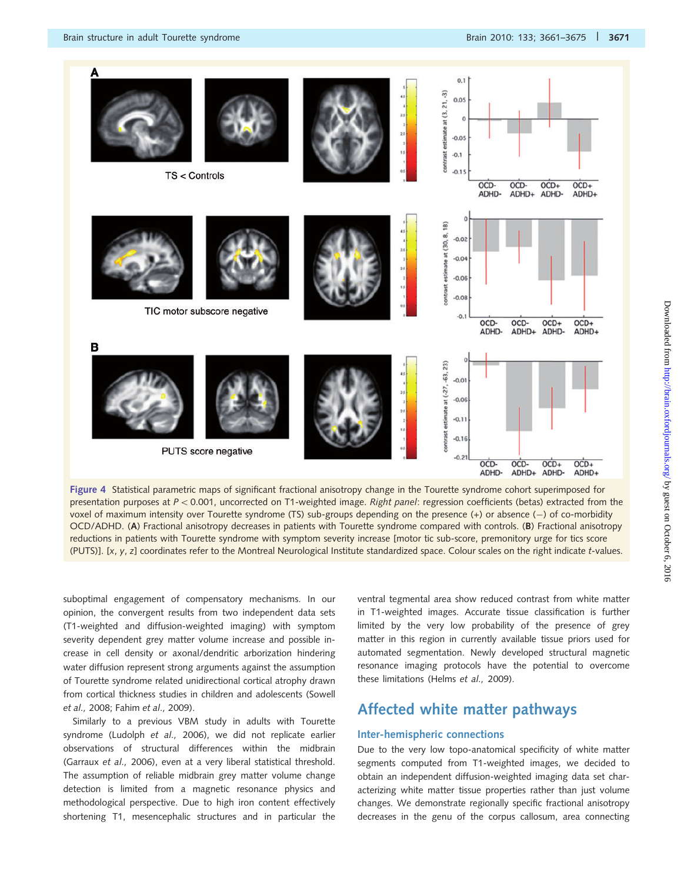

Figure 4 Statistical parametric maps of significant fractional anisotropy change in the Tourette syndrome cohort superimposed for presentation purposes at  $P < 0.001$ , uncorrected on T1-weighted image. Right panel: regression coefficients (betas) extracted from the voxel of maximum intensity over Tourette syndrome (TS) sub-groups depending on the presence  $(+)$  or absence  $(-)$  of co-morbidity OCD/ADHD. (A) Fractional anisotropy decreases in patients with Tourette syndrome compared with controls. (B) Fractional anisotropy reductions in patients with Tourette syndrome with symptom severity increase [motor tic sub-score, premonitory urge for tics score (PUTS)]. [x, y, z] coordinates refer to the Montreal Neurological Institute standardized space. Colour scales on the right indicate t-values.

suboptimal engagement of compensatory mechanisms. In our opinion, the convergent results from two independent data sets (T1-weighted and diffusion-weighted imaging) with symptom severity dependent grey matter volume increase and possible increase in cell density or axonal/dendritic arborization hindering water diffusion represent strong arguments against the assumption of Tourette syndrome related unidirectional cortical atrophy drawn from cortical thickness studies in children and adolescents (Sowell et al., 2008; Fahim et al., 2009).

Similarly to a previous VBM study in adults with Tourette syndrome (Ludolph et al., 2006), we did not replicate earlier observations of structural differences within the midbrain (Garraux et al., 2006), even at a very liberal statistical threshold. The assumption of reliable midbrain grey matter volume change detection is limited from a magnetic resonance physics and methodological perspective. Due to high iron content effectively shortening T1, mesencephalic structures and in particular the ventral tegmental area show reduced contrast from white matter in T1-weighted images. Accurate tissue classification is further limited by the very low probability of the presence of grey matter in this region in currently available tissue priors used for automated segmentation. Newly developed structural magnetic resonance imaging protocols have the potential to overcome these limitations (Helms et al., 2009).

### Affected white matter pathways

#### Inter-hemispheric connections

Due to the very low topo-anatomical specificity of white matter segments computed from T1-weighted images, we decided to obtain an independent diffusion-weighted imaging data set characterizing white matter tissue properties rather than just volume changes. We demonstrate regionally specific fractional anisotropy decreases in the genu of the corpus callosum, area connecting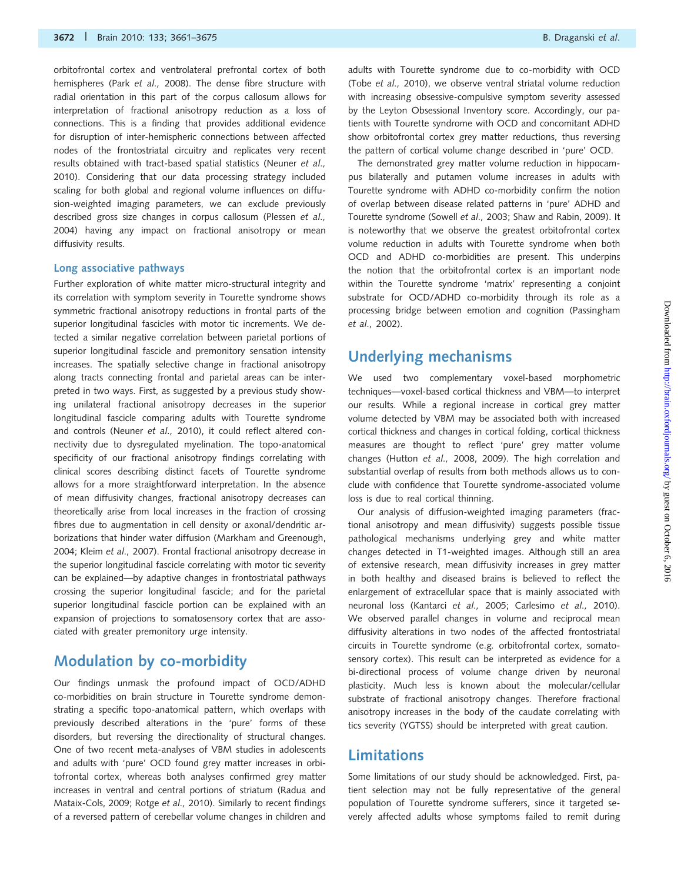orbitofrontal cortex and ventrolateral prefrontal cortex of both hemispheres (Park et al., 2008). The dense fibre structure with radial orientation in this part of the corpus callosum allows for interpretation of fractional anisotropy reduction as a loss of connections. This is a finding that provides additional evidence for disruption of inter-hemispheric connections between affected nodes of the frontostriatal circuitry and replicates very recent results obtained with tract-based spatial statistics (Neuner et al., 2010). Considering that our data processing strategy included scaling for both global and regional volume influences on diffusion-weighted imaging parameters, we can exclude previously described gross size changes in corpus callosum (Plessen et al., 2004) having any impact on fractional anisotropy or mean diffusivity results.

#### Long associative pathways

Further exploration of white matter micro-structural integrity and its correlation with symptom severity in Tourette syndrome shows symmetric fractional anisotropy reductions in frontal parts of the superior longitudinal fascicles with motor tic increments. We detected a similar negative correlation between parietal portions of superior longitudinal fascicle and premonitory sensation intensity increases. The spatially selective change in fractional anisotropy along tracts connecting frontal and parietal areas can be interpreted in two ways. First, as suggested by a previous study showing unilateral fractional anisotropy decreases in the superior longitudinal fascicle comparing adults with Tourette syndrome and controls (Neuner et al., 2010), it could reflect altered connectivity due to dysregulated myelination. The topo-anatomical specificity of our fractional anisotropy findings correlating with clinical scores describing distinct facets of Tourette syndrome allows for a more straightforward interpretation. In the absence of mean diffusivity changes, fractional anisotropy decreases can theoretically arise from local increases in the fraction of crossing fibres due to augmentation in cell density or axonal/dendritic arborizations that hinder water diffusion (Markham and Greenough, 2004; Kleim et al., 2007). Frontal fractional anisotropy decrease in the superior longitudinal fascicle correlating with motor tic severity can be explained—by adaptive changes in frontostriatal pathways crossing the superior longitudinal fascicle; and for the parietal superior longitudinal fascicle portion can be explained with an expansion of projections to somatosensory cortex that are associated with greater premonitory urge intensity.

### Modulation by co-morbidity

Our findings unmask the profound impact of OCD/ADHD co-morbidities on brain structure in Tourette syndrome demonstrating a specific topo-anatomical pattern, which overlaps with previously described alterations in the 'pure' forms of these disorders, but reversing the directionality of structural changes. One of two recent meta-analyses of VBM studies in adolescents and adults with 'pure' OCD found grey matter increases in orbitofrontal cortex, whereas both analyses confirmed grey matter increases in ventral and central portions of striatum (Radua and Mataix-Cols, 2009; Rotge et al., 2010). Similarly to recent findings of a reversed pattern of cerebellar volume changes in children and

adults with Tourette syndrome due to co-morbidity with OCD (Tobe et al., 2010), we observe ventral striatal volume reduction with increasing obsessive-compulsive symptom severity assessed by the Leyton Obsessional Inventory score. Accordingly, our patients with Tourette syndrome with OCD and concomitant ADHD show orbitofrontal cortex grey matter reductions, thus reversing the pattern of cortical volume change described in 'pure' OCD.

The demonstrated grey matter volume reduction in hippocampus bilaterally and putamen volume increases in adults with Tourette syndrome with ADHD co-morbidity confirm the notion of overlap between disease related patterns in 'pure' ADHD and Tourette syndrome (Sowell et al., 2003; Shaw and Rabin, 2009). It is noteworthy that we observe the greatest orbitofrontal cortex volume reduction in adults with Tourette syndrome when both OCD and ADHD co-morbidities are present. This underpins the notion that the orbitofrontal cortex is an important node within the Tourette syndrome 'matrix' representing a conjoint substrate for OCD/ADHD co-morbidity through its role as a processing bridge between emotion and cognition (Passingham et al., 2002).

### Underlying mechanisms

We used two complementary voxel-based morphometric techniques—voxel-based cortical thickness and VBM—to interpret our results. While a regional increase in cortical grey matter volume detected by VBM may be associated both with increased cortical thickness and changes in cortical folding, cortical thickness measures are thought to reflect 'pure' grey matter volume changes (Hutton et al., 2008, 2009). The high correlation and substantial overlap of results from both methods allows us to conclude with confidence that Tourette syndrome-associated volume loss is due to real cortical thinning.

Our analysis of diffusion-weighted imaging parameters (fractional anisotropy and mean diffusivity) suggests possible tissue pathological mechanisms underlying grey and white matter changes detected in T1-weighted images. Although still an area of extensive research, mean diffusivity increases in grey matter in both healthy and diseased brains is believed to reflect the enlargement of extracellular space that is mainly associated with neuronal loss (Kantarci et al., 2005; Carlesimo et al., 2010). We observed parallel changes in volume and reciprocal mean diffusivity alterations in two nodes of the affected frontostriatal circuits in Tourette syndrome (e.g. orbitofrontal cortex, somatosensory cortex). This result can be interpreted as evidence for a bi-directional process of volume change driven by neuronal plasticity. Much less is known about the molecular/cellular substrate of fractional anisotropy changes. Therefore fractional anisotropy increases in the body of the caudate correlating with tics severity (YGTSS) should be interpreted with great caution.

### Limitations

Some limitations of our study should be acknowledged. First, patient selection may not be fully representative of the general population of Tourette syndrome sufferers, since it targeted severely affected adults whose symptoms failed to remit during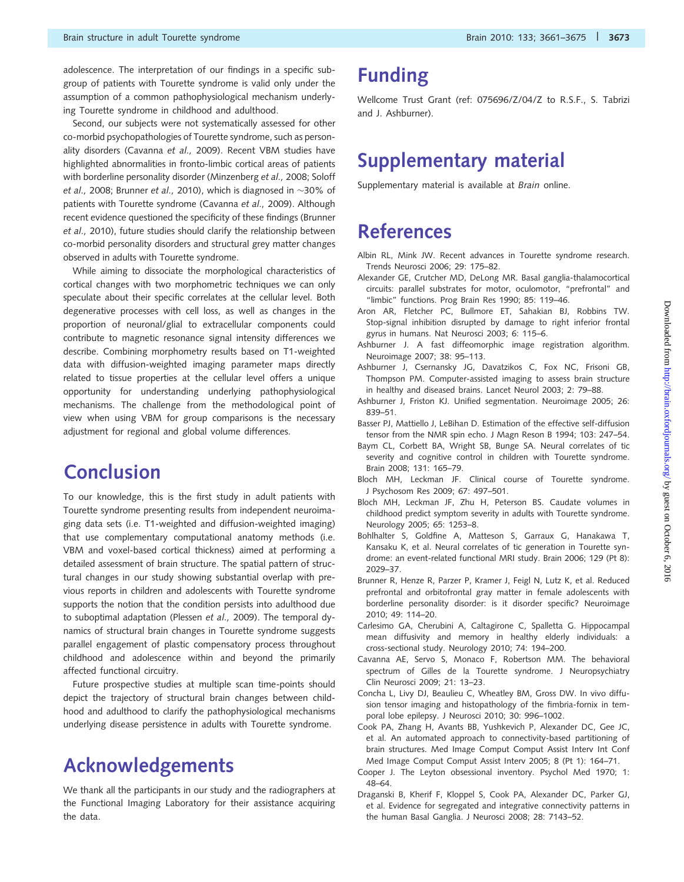adolescence. The interpretation of our findings in a specific subgroup of patients with Tourette syndrome is valid only under the assumption of a common pathophysiological mechanism underlying Tourette syndrome in childhood and adulthood.

Second, our subjects were not systematically assessed for other co-morbid psychopathologies of Tourette syndrome, such as personality disorders (Cavanna et al., 2009). Recent VBM studies have highlighted abnormalities in fronto-limbic cortical areas of patients with borderline personality disorder (Minzenberg et al., 2008; Soloff et al., 2008; Brunner et al., 2010), which is diagnosed in  $\sim$ 30% of patients with Tourette syndrome (Cavanna et al., 2009). Although recent evidence questioned the specificity of these findings (Brunner et al., 2010), future studies should clarify the relationship between co-morbid personality disorders and structural grey matter changes observed in adults with Tourette syndrome.

While aiming to dissociate the morphological characteristics of cortical changes with two morphometric techniques we can only speculate about their specific correlates at the cellular level. Both degenerative processes with cell loss, as well as changes in the proportion of neuronal/glial to extracellular components could contribute to magnetic resonance signal intensity differences we describe. Combining morphometry results based on T1-weighted data with diffusion-weighted imaging parameter maps directly related to tissue properties at the cellular level offers a unique opportunity for understanding underlying pathophysiological mechanisms. The challenge from the methodological point of view when using VBM for group comparisons is the necessary adjustment for regional and global volume differences.

## Conclusion

To our knowledge, this is the first study in adult patients with Tourette syndrome presenting results from independent neuroimaging data sets (i.e. T1-weighted and diffusion-weighted imaging) that use complementary computational anatomy methods (i.e. VBM and voxel-based cortical thickness) aimed at performing a detailed assessment of brain structure. The spatial pattern of structural changes in our study showing substantial overlap with previous reports in children and adolescents with Tourette syndrome supports the notion that the condition persists into adulthood due to suboptimal adaptation (Plessen et al., 2009). The temporal dynamics of structural brain changes in Tourette syndrome suggests parallel engagement of plastic compensatory process throughout childhood and adolescence within and beyond the primarily affected functional circuitry.

Future prospective studies at multiple scan time-points should depict the trajectory of structural brain changes between childhood and adulthood to clarify the pathophysiological mechanisms underlying disease persistence in adults with Tourette syndrome.

## Acknowledgements

We thank all the participants in our study and the radiographers at the Functional Imaging Laboratory for their assistance acquiring the data.

## Funding

Wellcome Trust Grant (ref: 075696/Z/04/Z to R.S.F., S. Tabrizi and J. Ashburner).

## Supplementary material

Supplementary material is available at Brain online.

## References

- Albin RL, Mink JW. Recent advances in Tourette syndrome research. Trends Neurosci 2006; 29: 175–82.
- Alexander GE, Crutcher MD, DeLong MR. Basal ganglia-thalamocortical circuits: parallel substrates for motor, oculomotor, "prefrontal" and "limbic" functions. Prog Brain Res 1990; 85: 119–46.
- Aron AR, Fletcher PC, Bullmore ET, Sahakian BJ, Robbins TW. Stop-signal inhibition disrupted by damage to right inferior frontal gyrus in humans. Nat Neurosci 2003; 6: 115–6.
- Ashburner J. A fast diffeomorphic image registration algorithm. Neuroimage 2007; 38: 95–113.
- Ashburner J, Csernansky JG, Davatzikos C, Fox NC, Frisoni GB, Thompson PM. Computer-assisted imaging to assess brain structure in healthy and diseased brains. Lancet Neurol 2003; 2: 79–88.
- Ashburner J, Friston KJ. Unified segmentation. Neuroimage 2005; 26: 839–51.
- Basser PJ, Mattiello J, LeBihan D. Estimation of the effective self-diffusion tensor from the NMR spin echo. J Magn Reson B 1994; 103: 247–54.
- Baym CL, Corbett BA, Wright SB, Bunge SA. Neural correlates of tic severity and cognitive control in children with Tourette syndrome. Brain 2008; 131: 165–79.
- Bloch MH, Leckman JF. Clinical course of Tourette syndrome. J Psychosom Res 2009; 67: 497–501.
- Bloch MH, Leckman JF, Zhu H, Peterson BS. Caudate volumes in childhood predict symptom severity in adults with Tourette syndrome. Neurology 2005; 65: 1253–8.
- Bohlhalter S, Goldfine A, Matteson S, Garraux G, Hanakawa T, Kansaku K, et al. Neural correlates of tic generation in Tourette syndrome: an event-related functional MRI study. Brain 2006; 129 (Pt 8): 2029–37.
- Brunner R, Henze R, Parzer P, Kramer J, Feigl N, Lutz K, et al. Reduced prefrontal and orbitofrontal gray matter in female adolescents with borderline personality disorder: is it disorder specific? Neuroimage 2010; 49: 114–20.
- Carlesimo GA, Cherubini A, Caltagirone C, Spalletta G. Hippocampal mean diffusivity and memory in healthy elderly individuals: a cross-sectional study. Neurology 2010; 74: 194–200.
- Cavanna AE, Servo S, Monaco F, Robertson MM. The behavioral spectrum of Gilles de la Tourette syndrome. J Neuropsychiatry Clin Neurosci 2009; 21: 13–23.
- Concha L, Livy DJ, Beaulieu C, Wheatley BM, Gross DW. In vivo diffusion tensor imaging and histopathology of the fimbria-fornix in temporal lobe epilepsy. J Neurosci 2010; 30: 996–1002.
- Cook PA, Zhang H, Avants BB, Yushkevich P, Alexander DC, Gee JC, et al. An automated approach to connectivity-based partitioning of brain structures. Med Image Comput Comput Assist Interv Int Conf Med Image Comput Comput Assist Interv 2005; 8 (Pt 1): 164–71.
- Cooper J. The Leyton obsessional inventory. Psychol Med 1970; 1: 48–64.
- Draganski B, Kherif F, Kloppel S, Cook PA, Alexander DC, Parker GJ, et al. Evidence for segregated and integrative connectivity patterns in the human Basal Ganglia. J Neurosci 2008; 28: 7143–52.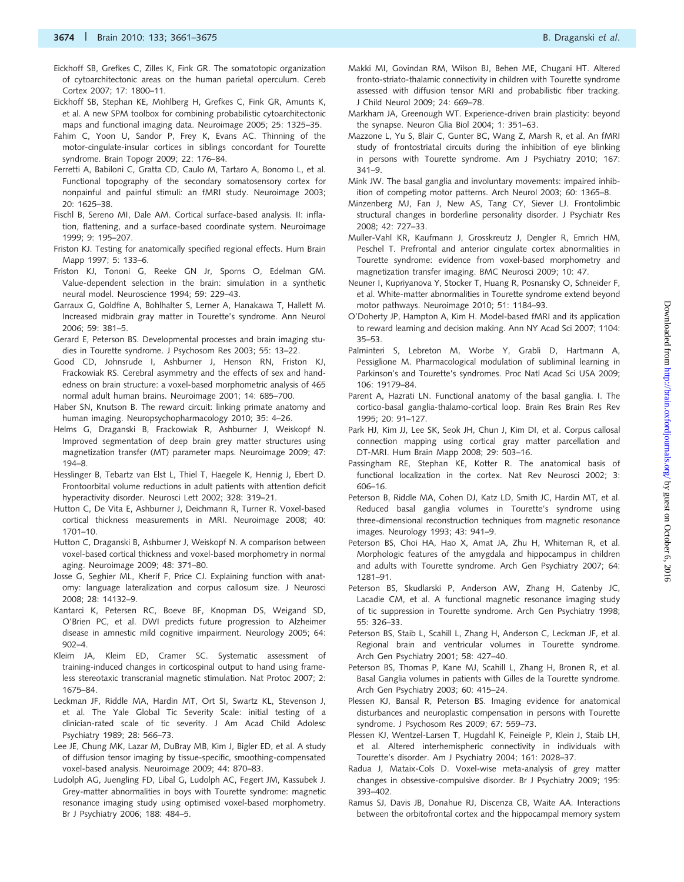- Eickhoff SB, Grefkes C, Zilles K, Fink GR. The somatotopic organization of cytoarchitectonic areas on the human parietal operculum. Cereb Cortex 2007; 17: 1800–11.
- Eickhoff SB, Stephan KE, Mohlberg H, Grefkes C, Fink GR, Amunts K, et al. A new SPM toolbox for combining probabilistic cytoarchitectonic maps and functional imaging data. Neuroimage 2005; 25: 1325–35.
- Fahim C, Yoon U, Sandor P, Frey K, Evans AC. Thinning of the motor-cingulate-insular cortices in siblings concordant for Tourette syndrome. Brain Topogr 2009; 22: 176–84.
- Ferretti A, Babiloni C, Gratta CD, Caulo M, Tartaro A, Bonomo L, et al. Functional topography of the secondary somatosensory cortex for nonpainful and painful stimuli: an fMRI study. Neuroimage 2003; 20: 1625–38.
- Fischl B, Sereno MI, Dale AM. Cortical surface-based analysis. II: inflation, flattening, and a surface-based coordinate system. Neuroimage 1999; 9: 195–207.
- Friston KJ. Testing for anatomically specified regional effects. Hum Brain Mapp 1997; 5: 133–6.
- Friston KJ, Tononi G, Reeke GN Jr, Sporns O, Edelman GM. Value-dependent selection in the brain: simulation in a synthetic neural model. Neuroscience 1994; 59: 229–43.
- Garraux G, Goldfine A, Bohlhalter S, Lerner A, Hanakawa T, Hallett M. Increased midbrain gray matter in Tourette's syndrome. Ann Neurol 2006; 59: 381–5.
- Gerard E, Peterson BS. Developmental processes and brain imaging studies in Tourette syndrome. J Psychosom Res 2003; 55: 13–22.
- Good CD, Johnsrude I, Ashburner J, Henson RN, Friston KJ, Frackowiak RS. Cerebral asymmetry and the effects of sex and handedness on brain structure: a voxel-based morphometric analysis of 465 normal adult human brains. Neuroimage 2001; 14: 685–700.
- Haber SN, Knutson B. The reward circuit: linking primate anatomy and human imaging. Neuropsychopharmacology 2010; 35: 4–26.
- Helms G, Draganski B, Frackowiak R, Ashburner J, Weiskopf N. Improved segmentation of deep brain grey matter structures using magnetization transfer (MT) parameter maps. Neuroimage 2009; 47: 194–8.
- Hesslinger B, Tebartz van Elst L, Thiel T, Haegele K, Hennig J, Ebert D. Frontoorbital volume reductions in adult patients with attention deficit hyperactivity disorder. Neurosci Lett 2002; 328: 319–21.
- Hutton C, De Vita E, Ashburner J, Deichmann R, Turner R. Voxel-based cortical thickness measurements in MRI. Neuroimage 2008; 40: 1701–10.
- Hutton C, Draganski B, Ashburner J, Weiskopf N. A comparison between voxel-based cortical thickness and voxel-based morphometry in normal aging. Neuroimage 2009; 48: 371–80.
- Josse G, Seghier ML, Kherif F, Price CJ. Explaining function with anatomy: language lateralization and corpus callosum size. J Neurosci 2008; 28: 14132–9.
- Kantarci K, Petersen RC, Boeve BF, Knopman DS, Weigand SD, O'Brien PC, et al. DWI predicts future progression to Alzheimer disease in amnestic mild cognitive impairment. Neurology 2005; 64: 902–4.
- Kleim JA, Kleim ED, Cramer SC. Systematic assessment of training-induced changes in corticospinal output to hand using frameless stereotaxic transcranial magnetic stimulation. Nat Protoc 2007; 2: 1675–84.
- Leckman JF, Riddle MA, Hardin MT, Ort SI, Swartz KL, Stevenson J, et al. The Yale Global Tic Severity Scale: initial testing of a clinician-rated scale of tic severity. J Am Acad Child Adolesc Psychiatry 1989; 28: 566–73.
- Lee JE, Chung MK, Lazar M, DuBray MB, Kim J, Bigler ED, et al. A study of diffusion tensor imaging by tissue-specific, smoothing-compensated voxel-based analysis. Neuroimage 2009; 44: 870–83.
- Ludolph AG, Juengling FD, Libal G, Ludolph AC, Fegert JM, Kassubek J. Grey-matter abnormalities in boys with Tourette syndrome: magnetic resonance imaging study using optimised voxel-based morphometry. Br J Psychiatry 2006; 188: 484–5.
- Makki MI, Govindan RM, Wilson BJ, Behen ME, Chugani HT. Altered fronto-striato-thalamic connectivity in children with Tourette syndrome assessed with diffusion tensor MRI and probabilistic fiber tracking. J Child Neurol 2009; 24: 669–78.
- Markham JA, Greenough WT. Experience-driven brain plasticity: beyond the synapse. Neuron Glia Biol 2004; 1: 351–63.
- Mazzone L, Yu S, Blair C, Gunter BC, Wang Z, Marsh R, et al. An fMRI study of frontostriatal circuits during the inhibition of eye blinking in persons with Tourette syndrome. Am J Psychiatry 2010; 167: 341–9.
- Mink JW. The basal ganglia and involuntary movements: impaired inhibition of competing motor patterns. Arch Neurol 2003; 60: 1365–8.
- Minzenberg MJ, Fan J, New AS, Tang CY, Siever LJ. Frontolimbic structural changes in borderline personality disorder. J Psychiatr Res 2008; 42: 727–33.
- Muller-Vahl KR, Kaufmann J, Grosskreutz J, Dengler R, Emrich HM, Peschel T. Prefrontal and anterior cingulate cortex abnormalities in Tourette syndrome: evidence from voxel-based morphometry and magnetization transfer imaging. BMC Neurosci 2009; 10: 47.
- Neuner I, Kupriyanova Y, Stocker T, Huang R, Posnansky O, Schneider F, et al. White-matter abnormalities in Tourette syndrome extend beyond motor pathways. Neuroimage 2010; 51: 1184–93.
- O'Doherty JP, Hampton A, Kim H. Model-based fMRI and its application to reward learning and decision making. Ann NY Acad Sci 2007; 1104: 35–53.
- Palminteri S, Lebreton M, Worbe Y, Grabli D, Hartmann A, Pessiglione M. Pharmacological modulation of subliminal learning in Parkinson's and Tourette's syndromes. Proc Natl Acad Sci USA 2009; 106: 19179–84.
- Parent A, Hazrati LN. Functional anatomy of the basal ganglia. I. The cortico-basal ganglia-thalamo-cortical loop. Brain Res Brain Res Rev 1995; 20: 91–127.
- Park HJ, Kim JJ, Lee SK, Seok JH, Chun J, Kim DI, et al. Corpus callosal connection mapping using cortical gray matter parcellation and DT-MRI. Hum Brain Mapp 2008; 29: 503–16.
- Passingham RE, Stephan KE, Kotter R. The anatomical basis of functional localization in the cortex. Nat Rev Neurosci 2002; 3: 606–16.
- Peterson B, Riddle MA, Cohen DJ, Katz LD, Smith JC, Hardin MT, et al. Reduced basal ganglia volumes in Tourette's syndrome using three-dimensional reconstruction techniques from magnetic resonance images. Neurology 1993; 43: 941–9.
- Peterson BS, Choi HA, Hao X, Amat JA, Zhu H, Whiteman R, et al. Morphologic features of the amygdala and hippocampus in children and adults with Tourette syndrome. Arch Gen Psychiatry 2007; 64: 1281–91.
- Peterson BS, Skudlarski P, Anderson AW, Zhang H, Gatenby JC, Lacadie CM, et al. A functional magnetic resonance imaging study of tic suppression in Tourette syndrome. Arch Gen Psychiatry 1998; 55: 326–33.
- Peterson BS, Staib L, Scahill L, Zhang H, Anderson C, Leckman JF, et al. Regional brain and ventricular volumes in Tourette syndrome. Arch Gen Psychiatry 2001; 58: 427–40.
- Peterson BS, Thomas P, Kane MJ, Scahill L, Zhang H, Bronen R, et al. Basal Ganglia volumes in patients with Gilles de la Tourette syndrome. Arch Gen Psychiatry 2003; 60: 415–24.
- Plessen KJ, Bansal R, Peterson BS. Imaging evidence for anatomical disturbances and neuroplastic compensation in persons with Tourette syndrome. J Psychosom Res 2009; 67: 559–73.
- Plessen KJ, Wentzel-Larsen T, Hugdahl K, Feineigle P, Klein J, Staib LH, et al. Altered interhemispheric connectivity in individuals with Tourette's disorder. Am J Psychiatry 2004; 161: 2028–37.
- Radua J, Mataix-Cols D. Voxel-wise meta-analysis of grey matter changes in obsessive-compulsive disorder. Br J Psychiatry 2009; 195: 393–402.
- Ramus SJ, Davis JB, Donahue RJ, Discenza CB, Waite AA. Interactions between the orbitofrontal cortex and the hippocampal memory system